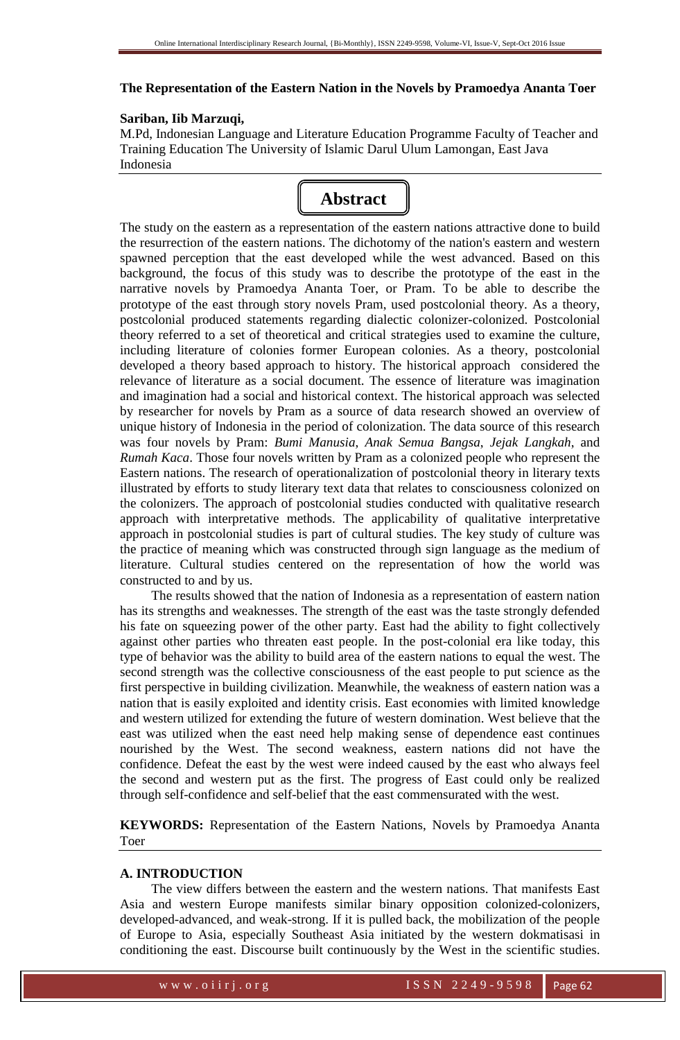#### **The Representation of the Eastern Nation in the Novels by Pramoedya Ananta Toer**

#### **Sariban, Iib Marzuqi,**

M.Pd, Indonesian Language and Literature Education Programme Faculty of Teacher and Training Education The University of Islamic Darul Ulum Lamongan, East Java Indonesia

# **Abstract**

The study on the eastern as a representation of the eastern nations attractive done to build the resurrection of the eastern nations. The dichotomy of the nation's eastern and western spawned perception that the east developed while the west advanced. Based on this background, the focus of this study was to describe the prototype of the east in the narrative novels by Pramoedya Ananta Toer, or Pram. To be able to describe the prototype of the east through story novels Pram, used postcolonial theory. As a theory, postcolonial produced statements regarding dialectic colonizer-colonized. Postcolonial theory referred to a set of theoretical and critical strategies used to examine the culture, including literature of colonies former European colonies. As a theory, postcolonial developed a theory based approach to history. The historical approach considered the relevance of literature as a social document. The essence of literature was imagination and imagination had a social and historical context. The historical approach was selected by researcher for novels by Pram as a source of data research showed an overview of unique history of Indonesia in the period of colonization. The data source of this research was four novels by Pram: *Bumi Manusia*, *Anak Semua Bangsa*, *Jejak Langkah*, and *Rumah Kaca*. Those four novels written by Pram as a colonized people who represent the Eastern nations. The research of operationalization of postcolonial theory in literary texts illustrated by efforts to study literary text data that relates to consciousness colonized on the colonizers. The approach of postcolonial studies conducted with qualitative research approach with interpretative methods. The applicability of qualitative interpretative approach in postcolonial studies is part of cultural studies. The key study of culture was the practice of meaning which was constructed through sign language as the medium of literature. Cultural studies centered on the representation of how the world was constructed to and by us.

The results showed that the nation of Indonesia as a representation of eastern nation has its strengths and weaknesses. The strength of the east was the taste strongly defended his fate on squeezing power of the other party. East had the ability to fight collectively against other parties who threaten east people. In the post-colonial era like today, this type of behavior was the ability to build area of the eastern nations to equal the west. The second strength was the collective consciousness of the east people to put science as the first perspective in building civilization. Meanwhile, the weakness of eastern nation was a nation that is easily exploited and identity crisis. East economies with limited knowledge and western utilized for extending the future of western domination. West believe that the east was utilized when the east need help making sense of dependence east continues nourished by the West. The second weakness, eastern nations did not have the confidence. Defeat the east by the west were indeed caused by the east who always feel the second and western put as the first. The progress of East could only be realized through self-confidence and self-belief that the east commensurated with the west.

**KEYWORDS:** Representation of the Eastern Nations, Novels by Pramoedya Ananta Toer

## **A. INTRODUCTION**

The view differs between the eastern and the western nations. That manifests East Asia and western Europe manifests similar binary opposition colonized-colonizers, developed-advanced, and weak-strong. If it is pulled back, the mobilization of the people of Europe to Asia, especially Southeast Asia initiated by the western dokmatisasi in conditioning the east. Discourse built continuously by the West in the scientific studies.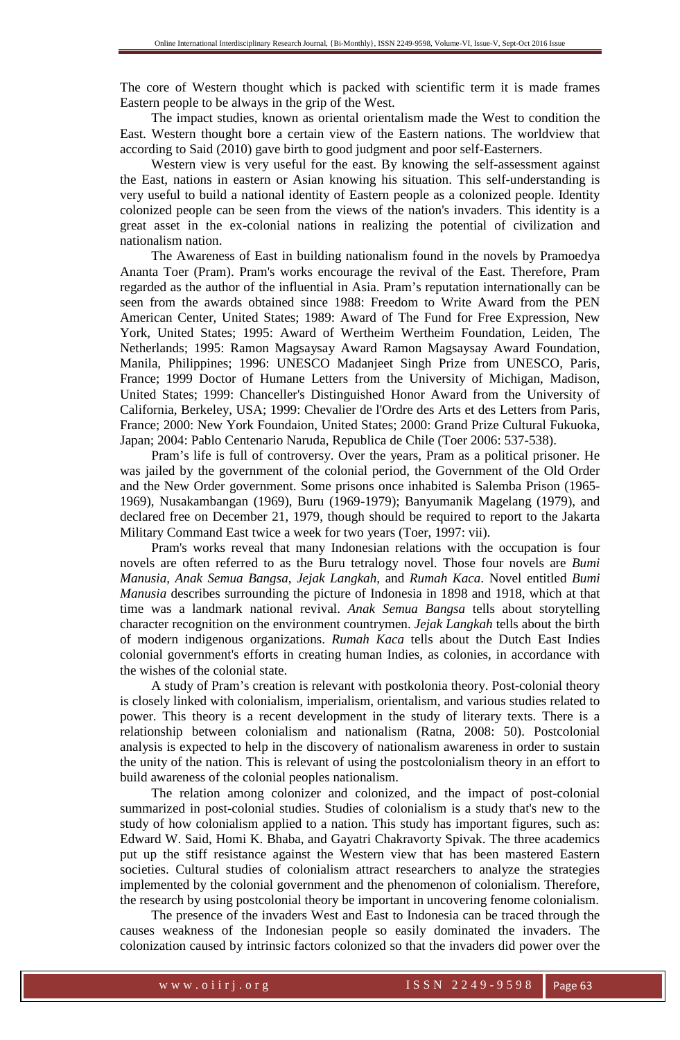The core of Western thought which is packed with scientific term it is made frames Eastern people to be always in the grip of the West.

The impact studies, known as oriental orientalism made the West to condition the East. Western thought bore a certain view of the Eastern nations. The worldview that according to Said (2010) gave birth to good judgment and poor self-Easterners.

Western view is very useful for the east. By knowing the self-assessment against the East, nations in eastern or Asian knowing his situation. This self-understanding is very useful to build a national identity of Eastern people as a colonized people. Identity colonized people can be seen from the views of the nation's invaders. This identity is a great asset in the ex-colonial nations in realizing the potential of civilization and nationalism nation.

The Awareness of East in building nationalism found in the novels by Pramoedya Ananta Toer (Pram). Pram's works encourage the revival of the East. Therefore, Pram regarded as the author of the influential in Asia. Pram's reputation internationally can be seen from the awards obtained since 1988: Freedom to Write Award from the PEN American Center, United States; 1989: Award of The Fund for Free Expression, New York, United States; 1995: Award of Wertheim Wertheim Foundation, Leiden, The Netherlands; 1995: Ramon Magsaysay Award Ramon Magsaysay Award Foundation, Manila, Philippines; 1996: UNESCO Madanjeet Singh Prize from UNESCO, Paris, France; 1999 Doctor of Humane Letters from the University of Michigan, Madison, United States; 1999: Chanceller's Distinguished Honor Award from the University of California, Berkeley, USA; 1999: Chevalier de l'Ordre des Arts et des Letters from Paris, France; 2000: New York Foundaion, United States; 2000: Grand Prize Cultural Fukuoka, Japan; 2004: Pablo Centenario Naruda, Republica de Chile (Toer 2006: 537-538).

Pram's life is full of controversy. Over the years, Pram as a political prisoner. He was jailed by the government of the colonial period, the Government of the Old Order and the New Order government. Some prisons once inhabited is Salemba Prison (1965- 1969), Nusakambangan (1969), Buru (1969-1979); Banyumanik Magelang (1979), and declared free on December 21, 1979, though should be required to report to the Jakarta Military Command East twice a week for two years (Toer, 1997: vii).

Pram's works reveal that many Indonesian relations with the occupation is four novels are often referred to as the Buru tetralogy novel. Those four novels are *Bumi Manusia*, *Anak Semua Bangsa*, *Jejak Langkah*, and *Rumah Kaca*. Novel entitled *Bumi Manusia* describes surrounding the picture of Indonesia in 1898 and 1918, which at that time was a landmark national revival. *Anak Semua Bangsa* tells about storytelling character recognition on the environment countrymen. *Jejak Langkah* tells about the birth of modern indigenous organizations. *Rumah Kaca* tells about the Dutch East Indies colonial government's efforts in creating human Indies, as colonies, in accordance with the wishes of the colonial state.

A study of Pram's creation is relevant with postkolonia theory. Post-colonial theory is closely linked with colonialism, imperialism, orientalism, and various studies related to power. This theory is a recent development in the study of literary texts. There is a relationship between colonialism and nationalism (Ratna, 2008: 50). Postcolonial analysis is expected to help in the discovery of nationalism awareness in order to sustain the unity of the nation. This is relevant of using the postcolonialism theory in an effort to build awareness of the colonial peoples nationalism.

The relation among colonizer and colonized, and the impact of post-colonial summarized in post-colonial studies. Studies of colonialism is a study that's new to the study of how colonialism applied to a nation. This study has important figures, such as: Edward W. Said, Homi K. Bhaba, and Gayatri Chakravorty Spivak. The three academics put up the stiff resistance against the Western view that has been mastered Eastern societies. Cultural studies of colonialism attract researchers to analyze the strategies implemented by the colonial government and the phenomenon of colonialism. Therefore, the research by using postcolonial theory be important in uncovering fenome colonialism.

The presence of the invaders West and East to Indonesia can be traced through the causes weakness of the Indonesian people so easily dominated the invaders. The colonization caused by intrinsic factors colonized so that the invaders did power over the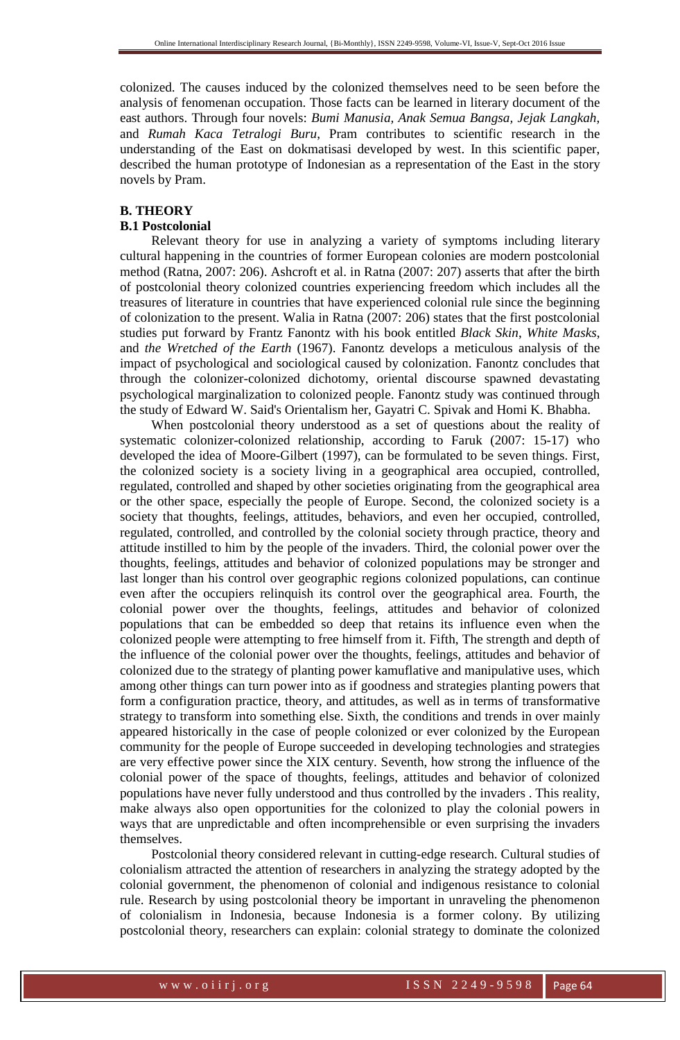colonized. The causes induced by the colonized themselves need to be seen before the analysis of fenomenan occupation. Those facts can be learned in literary document of the east authors. Through four novels: *Bumi Manusia, Anak Semua Bangsa, Jejak Langkah*, and *Rumah Kaca Tetralogi Buru*, Pram contributes to scientific research in the understanding of the East on dokmatisasi developed by west. In this scientific paper, described the human prototype of Indonesian as a representation of the East in the story novels by Pram.

## **B. THEORY**

## **B.1 Postcolonial**

Relevant theory for use in analyzing a variety of symptoms including literary cultural happening in the countries of former European colonies are modern postcolonial method (Ratna, 2007: 206). Ashcroft et al. in Ratna (2007: 207) asserts that after the birth of postcolonial theory colonized countries experiencing freedom which includes all the treasures of literature in countries that have experienced colonial rule since the beginning of colonization to the present. Walia in Ratna (2007: 206) states that the first postcolonial studies put forward by Frantz Fanontz with his book entitled *Black Skin*, *White Masks*, and *the Wretched of the Earth* (1967). Fanontz develops a meticulous analysis of the impact of psychological and sociological caused by colonization. Fanontz concludes that through the colonizer-colonized dichotomy, oriental discourse spawned devastating psychological marginalization to colonized people. Fanontz study was continued through the study of Edward W. Said's Orientalism her, Gayatri C. Spivak and Homi K. Bhabha.

When postcolonial theory understood as a set of questions about the reality of systematic colonizer-colonized relationship, according to Faruk (2007: 15-17) who developed the idea of Moore-Gilbert (1997), can be formulated to be seven things. First, the colonized society is a society living in a geographical area occupied, controlled, regulated, controlled and shaped by other societies originating from the geographical area or the other space, especially the people of Europe. Second, the colonized society is a society that thoughts, feelings, attitudes, behaviors, and even her occupied, controlled, regulated, controlled, and controlled by the colonial society through practice, theory and attitude instilled to him by the people of the invaders. Third, the colonial power over the thoughts, feelings, attitudes and behavior of colonized populations may be stronger and last longer than his control over geographic regions colonized populations, can continue even after the occupiers relinquish its control over the geographical area. Fourth, the colonial power over the thoughts, feelings, attitudes and behavior of colonized populations that can be embedded so deep that retains its influence even when the colonized people were attempting to free himself from it. Fifth, The strength and depth of the influence of the colonial power over the thoughts, feelings, attitudes and behavior of colonized due to the strategy of planting power kamuflative and manipulative uses, which among other things can turn power into as if goodness and strategies planting powers that form a configuration practice, theory, and attitudes, as well as in terms of transformative strategy to transform into something else. Sixth, the conditions and trends in over mainly appeared historically in the case of people colonized or ever colonized by the European community for the people of Europe succeeded in developing technologies and strategies are very effective power since the XIX century. Seventh, how strong the influence of the colonial power of the space of thoughts, feelings, attitudes and behavior of colonized populations have never fully understood and thus controlled by the invaders . This reality, make always also open opportunities for the colonized to play the colonial powers in ways that are unpredictable and often incomprehensible or even surprising the invaders themselves.

Postcolonial theory considered relevant in cutting-edge research. Cultural studies of colonialism attracted the attention of researchers in analyzing the strategy adopted by the colonial government, the phenomenon of colonial and indigenous resistance to colonial rule. Research by using postcolonial theory be important in unraveling the phenomenon of colonialism in Indonesia, because Indonesia is a former colony. By utilizing postcolonial theory, researchers can explain: colonial strategy to dominate the colonized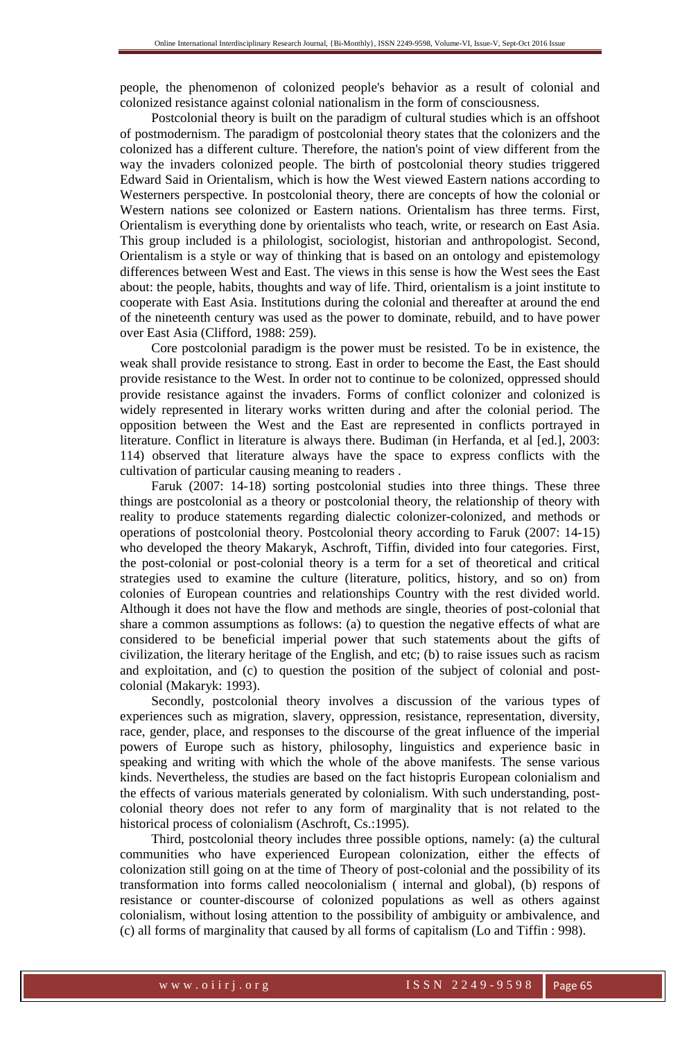people, the phenomenon of colonized people's behavior as a result of colonial and colonized resistance against colonial nationalism in the form of consciousness.

Postcolonial theory is built on the paradigm of cultural studies which is an offshoot of postmodernism. The paradigm of postcolonial theory states that the colonizers and the colonized has a different culture. Therefore, the nation's point of view different from the way the invaders colonized people. The birth of postcolonial theory studies triggered Edward Said in Orientalism, which is how the West viewed Eastern nations according to Westerners perspective. In postcolonial theory, there are concepts of how the colonial or Western nations see colonized or Eastern nations. Orientalism has three terms. First, Orientalism is everything done by orientalists who teach, write, or research on East Asia. This group included is a philologist, sociologist, historian and anthropologist. Second, Orientalism is a style or way of thinking that is based on an ontology and epistemology differences between West and East. The views in this sense is how the West sees the East about: the people, habits, thoughts and way of life. Third, orientalism is a joint institute to cooperate with East Asia. Institutions during the colonial and thereafter at around the end of the nineteenth century was used as the power to dominate, rebuild, and to have power over East Asia (Clifford, 1988: 259).

Core postcolonial paradigm is the power must be resisted. To be in existence, the weak shall provide resistance to strong. East in order to become the East, the East should provide resistance to the West. In order not to continue to be colonized, oppressed should provide resistance against the invaders. Forms of conflict colonizer and colonized is widely represented in literary works written during and after the colonial period. The opposition between the West and the East are represented in conflicts portrayed in literature. Conflict in literature is always there. Budiman (in Herfanda, et al [ed.], 2003: 114) observed that literature always have the space to express conflicts with the cultivation of particular causing meaning to readers .

Faruk (2007: 14-18) sorting postcolonial studies into three things. These three things are postcolonial as a theory or postcolonial theory, the relationship of theory with reality to produce statements regarding dialectic colonizer-colonized, and methods or operations of postcolonial theory. Postcolonial theory according to Faruk (2007: 14-15) who developed the theory Makaryk, Aschroft, Tiffin, divided into four categories. First, the post-colonial or post-colonial theory is a term for a set of theoretical and critical strategies used to examine the culture (literature, politics, history, and so on) from colonies of European countries and relationships Country with the rest divided world. Although it does not have the flow and methods are single, theories of post-colonial that share a common assumptions as follows: (a) to question the negative effects of what are considered to be beneficial imperial power that such statements about the gifts of civilization, the literary heritage of the English, and etc; (b) to raise issues such as racism and exploitation, and (c) to question the position of the subject of colonial and postcolonial (Makaryk: 1993).

Secondly, postcolonial theory involves a discussion of the various types of experiences such as migration, slavery, oppression, resistance, representation, diversity, race, gender, place, and responses to the discourse of the great influence of the imperial powers of Europe such as history, philosophy, linguistics and experience basic in speaking and writing with which the whole of the above manifests. The sense various kinds. Nevertheless, the studies are based on the fact histopris European colonialism and the effects of various materials generated by colonialism. With such understanding, postcolonial theory does not refer to any form of marginality that is not related to the historical process of colonialism (Aschroft, Cs.:1995).

Third, postcolonial theory includes three possible options, namely: (a) the cultural communities who have experienced European colonization, either the effects of colonization still going on at the time of Theory of post-colonial and the possibility of its transformation into forms called neocolonialism ( internal and global), (b) respons of resistance or counter-discourse of colonized populations as well as others against colonialism, without losing attention to the possibility of ambiguity or ambivalence, and (c) all forms of marginality that caused by all forms of capitalism (Lo and Tiffin : 998).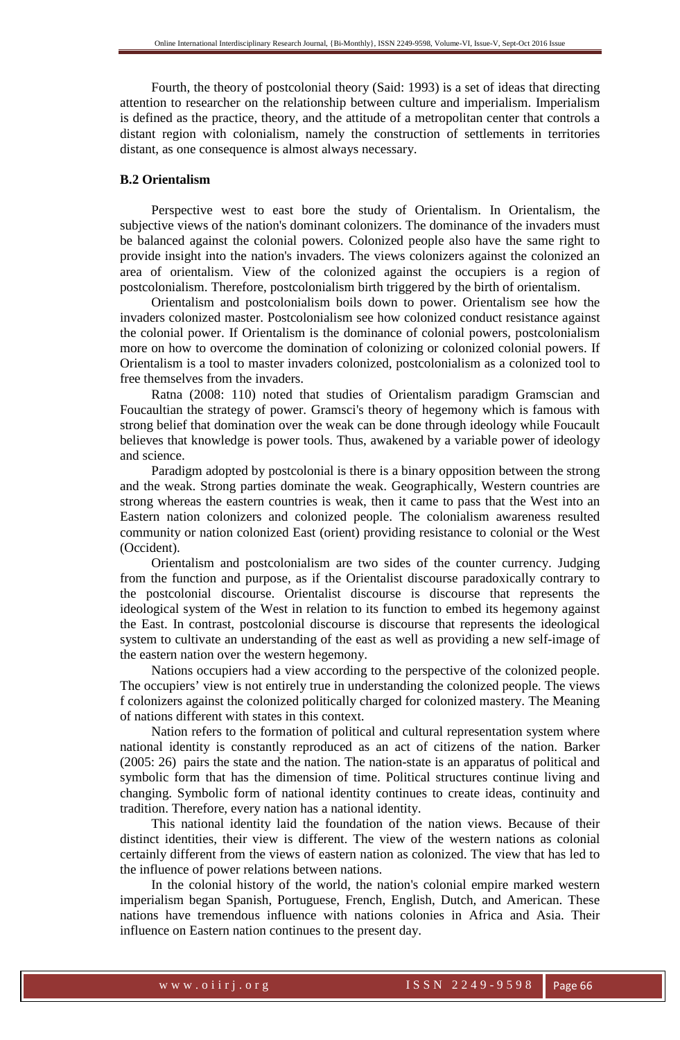Fourth, the theory of postcolonial theory (Said: 1993) is a set of ideas that directing attention to researcher on the relationship between culture and imperialism. Imperialism is defined as the practice, theory, and the attitude of a metropolitan center that controls a distant region with colonialism, namely the construction of settlements in territories distant, as one consequence is almost always necessary.

#### **B.2 Orientalism**

Perspective west to east bore the study of Orientalism. In Orientalism, the subjective views of the nation's dominant colonizers. The dominance of the invaders must be balanced against the colonial powers. Colonized people also have the same right to provide insight into the nation's invaders. The views colonizers against the colonized an area of orientalism. View of the colonized against the occupiers is a region of postcolonialism. Therefore, postcolonialism birth triggered by the birth of orientalism.

Orientalism and postcolonialism boils down to power. Orientalism see how the invaders colonized master. Postcolonialism see how colonized conduct resistance against the colonial power. If Orientalism is the dominance of colonial powers, postcolonialism more on how to overcome the domination of colonizing or colonized colonial powers. If Orientalism is a tool to master invaders colonized, postcolonialism as a colonized tool to free themselves from the invaders.

Ratna (2008: 110) noted that studies of Orientalism paradigm Gramscian and Foucaultian the strategy of power. Gramsci's theory of hegemony which is famous with strong belief that domination over the weak can be done through ideology while Foucault believes that knowledge is power tools. Thus, awakened by a variable power of ideology and science.

Paradigm adopted by postcolonial is there is a binary opposition between the strong and the weak. Strong parties dominate the weak. Geographically, Western countries are strong whereas the eastern countries is weak, then it came to pass that the West into an Eastern nation colonizers and colonized people. The colonialism awareness resulted community or nation colonized East (orient) providing resistance to colonial or the West (Occident).

Orientalism and postcolonialism are two sides of the counter currency. Judging from the function and purpose, as if the Orientalist discourse paradoxically contrary to the postcolonial discourse. Orientalist discourse is discourse that represents the ideological system of the West in relation to its function to embed its hegemony against the East. In contrast, postcolonial discourse is discourse that represents the ideological system to cultivate an understanding of the east as well as providing a new self-image of the eastern nation over the western hegemony.

Nations occupiers had a view according to the perspective of the colonized people. The occupiers' view is not entirely true in understanding the colonized people. The views f colonizers against the colonized politically charged for colonized mastery. The Meaning of nations different with states in this context.

Nation refers to the formation of political and cultural representation system where national identity is constantly reproduced as an act of citizens of the nation. Barker (2005: 26) pairs the state and the nation. The nation-state is an apparatus of political and symbolic form that has the dimension of time. Political structures continue living and changing. Symbolic form of national identity continues to create ideas, continuity and tradition. Therefore, every nation has a national identity.

This national identity laid the foundation of the nation views. Because of their distinct identities, their view is different. The view of the western nations as colonial certainly different from the views of eastern nation as colonized. The view that has led to the influence of power relations between nations.

In the colonial history of the world, the nation's colonial empire marked western imperialism began Spanish, Portuguese, French, English, Dutch, and American. These nations have tremendous influence with nations colonies in Africa and Asia. Their influence on Eastern nation continues to the present day.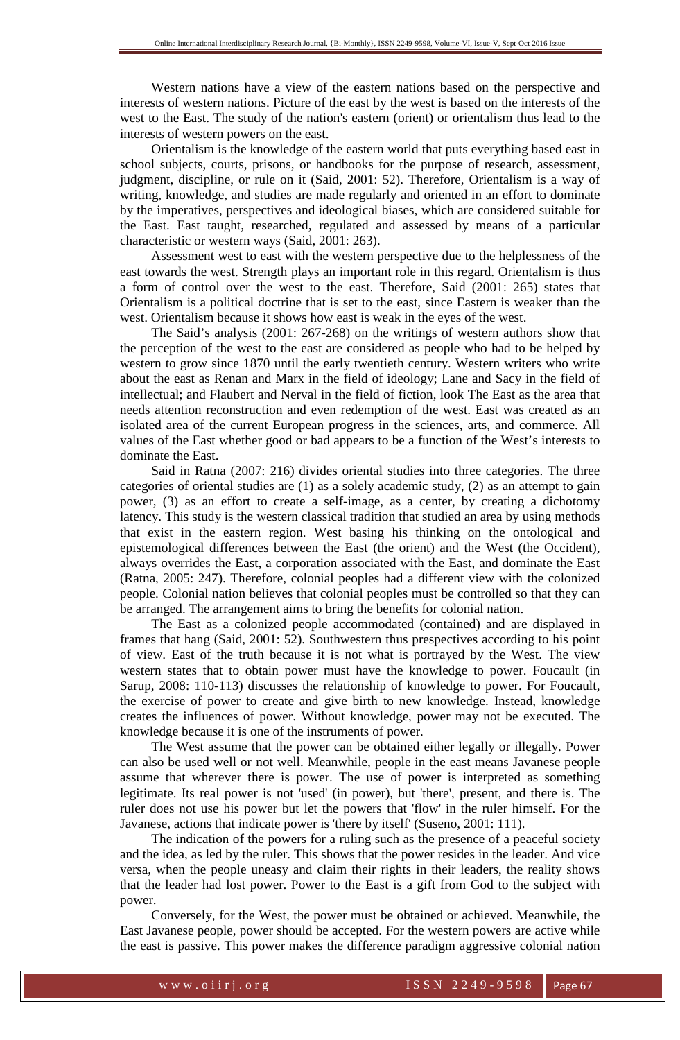Western nations have a view of the eastern nations based on the perspective and interests of western nations. Picture of the east by the west is based on the interests of the west to the East. The study of the nation's eastern (orient) or orientalism thus lead to the interests of western powers on the east.

Orientalism is the knowledge of the eastern world that puts everything based east in school subjects, courts, prisons, or handbooks for the purpose of research, assessment, judgment, discipline, or rule on it (Said, 2001: 52). Therefore, Orientalism is a way of writing, knowledge, and studies are made regularly and oriented in an effort to dominate by the imperatives, perspectives and ideological biases, which are considered suitable for the East. East taught, researched, regulated and assessed by means of a particular characteristic or western ways (Said, 2001: 263).

Assessment west to east with the western perspective due to the helplessness of the east towards the west. Strength plays an important role in this regard. Orientalism is thus a form of control over the west to the east. Therefore, Said (2001: 265) states that Orientalism is a political doctrine that is set to the east, since Eastern is weaker than the west. Orientalism because it shows how east is weak in the eyes of the west.

The Said's analysis (2001: 267-268) on the writings of western authors show that the perception of the west to the east are considered as people who had to be helped by western to grow since 1870 until the early twentieth century. Western writers who write about the east as Renan and Marx in the field of ideology; Lane and Sacy in the field of intellectual; and Flaubert and Nerval in the field of fiction, look The East as the area that needs attention reconstruction and even redemption of the west. East was created as an isolated area of the current European progress in the sciences, arts, and commerce. All values of the East whether good or bad appears to be a function of the West's interests to dominate the East.

Said in Ratna (2007: 216) divides oriental studies into three categories. The three categories of oriental studies are (1) as a solely academic study, (2) as an attempt to gain power, (3) as an effort to create a self-image, as a center, by creating a dichotomy latency. This study is the western classical tradition that studied an area by using methods that exist in the eastern region. West basing his thinking on the ontological and epistemological differences between the East (the orient) and the West (the Occident), always overrides the East, a corporation associated with the East, and dominate the East (Ratna, 2005: 247). Therefore, colonial peoples had a different view with the colonized people. Colonial nation believes that colonial peoples must be controlled so that they can be arranged. The arrangement aims to bring the benefits for colonial nation.

The East as a colonized people accommodated (contained) and are displayed in frames that hang (Said, 2001: 52). Southwestern thus prespectives according to his point of view. East of the truth because it is not what is portrayed by the West. The view western states that to obtain power must have the knowledge to power. Foucault (in Sarup, 2008: 110-113) discusses the relationship of knowledge to power. For Foucault, the exercise of power to create and give birth to new knowledge. Instead, knowledge creates the influences of power. Without knowledge, power may not be executed. The knowledge because it is one of the instruments of power.

The West assume that the power can be obtained either legally or illegally. Power can also be used well or not well. Meanwhile, people in the east means Javanese people assume that wherever there is power. The use of power is interpreted as something legitimate. Its real power is not 'used' (in power), but 'there', present, and there is. The ruler does not use his power but let the powers that 'flow' in the ruler himself. For the Javanese, actions that indicate power is 'there by itself' (Suseno, 2001: 111).

The indication of the powers for a ruling such as the presence of a peaceful society and the idea, as led by the ruler. This shows that the power resides in the leader. And vice versa, when the people uneasy and claim their rights in their leaders, the reality shows that the leader had lost power. Power to the East is a gift from God to the subject with power.

Conversely, for the West, the power must be obtained or achieved. Meanwhile, the East Javanese people, power should be accepted. For the western powers are active while the east is passive. This power makes the difference paradigm aggressive colonial nation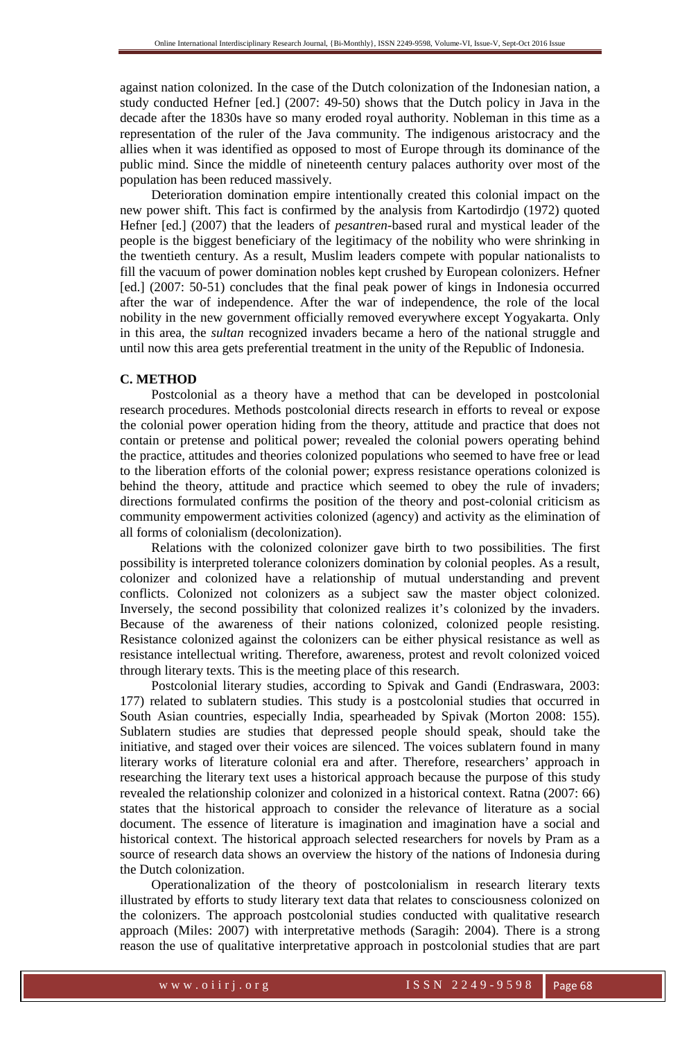against nation colonized. In the case of the Dutch colonization of the Indonesian nation, a study conducted Hefner [ed.] (2007: 49-50) shows that the Dutch policy in Java in the decade after the 1830s have so many eroded royal authority. Nobleman in this time as a representation of the ruler of the Java community. The indigenous aristocracy and the allies when it was identified as opposed to most of Europe through its dominance of the public mind. Since the middle of nineteenth century palaces authority over most of the population has been reduced massively.

Deterioration domination empire intentionally created this colonial impact on the new power shift. This fact is confirmed by the analysis from Kartodirdjo (1972) quoted Hefner [ed.] (2007) that the leaders of *pesantren*-based rural and mystical leader of the people is the biggest beneficiary of the legitimacy of the nobility who were shrinking in the twentieth century. As a result, Muslim leaders compete with popular nationalists to fill the vacuum of power domination nobles kept crushed by European colonizers. Hefner [ed.] (2007: 50-51) concludes that the final peak power of kings in Indonesia occurred after the war of independence. After the war of independence, the role of the local nobility in the new government officially removed everywhere except Yogyakarta. Only in this area, the *sultan* recognized invaders became a hero of the national struggle and until now this area gets preferential treatment in the unity of the Republic of Indonesia.

### **C. METHOD**

Postcolonial as a theory have a method that can be developed in postcolonial research procedures. Methods postcolonial directs research in efforts to reveal or expose the colonial power operation hiding from the theory, attitude and practice that does not contain or pretense and political power; revealed the colonial powers operating behind the practice, attitudes and theories colonized populations who seemed to have free or lead to the liberation efforts of the colonial power; express resistance operations colonized is behind the theory, attitude and practice which seemed to obey the rule of invaders; directions formulated confirms the position of the theory and post-colonial criticism as community empowerment activities colonized (agency) and activity as the elimination of all forms of colonialism (decolonization).

Relations with the colonized colonizer gave birth to two possibilities. The first possibility is interpreted tolerance colonizers domination by colonial peoples. As a result, colonizer and colonized have a relationship of mutual understanding and prevent conflicts. Colonized not colonizers as a subject saw the master object colonized. Inversely, the second possibility that colonized realizes it's colonized by the invaders. Because of the awareness of their nations colonized, colonized people resisting. Resistance colonized against the colonizers can be either physical resistance as well as resistance intellectual writing. Therefore, awareness, protest and revolt colonized voiced through literary texts. This is the meeting place of this research.

Postcolonial literary studies, according to Spivak and Gandi (Endraswara, 2003: 177) related to sublatern studies. This study is a postcolonial studies that occurred in South Asian countries, especially India, spearheaded by Spivak (Morton 2008: 155). Sublatern studies are studies that depressed people should speak, should take the initiative, and staged over their voices are silenced. The voices sublatern found in many literary works of literature colonial era and after. Therefore, researchers' approach in researching the literary text uses a historical approach because the purpose of this study revealed the relationship colonizer and colonized in a historical context. Ratna (2007: 66) states that the historical approach to consider the relevance of literature as a social document. The essence of literature is imagination and imagination have a social and historical context. The historical approach selected researchers for novels by Pram as a source of research data shows an overview the history of the nations of Indonesia during the Dutch colonization.

Operationalization of the theory of postcolonialism in research literary texts illustrated by efforts to study literary text data that relates to consciousness colonized on the colonizers. The approach postcolonial studies conducted with qualitative research approach (Miles: 2007) with interpretative methods (Saragih: 2004). There is a strong reason the use of qualitative interpretative approach in postcolonial studies that are part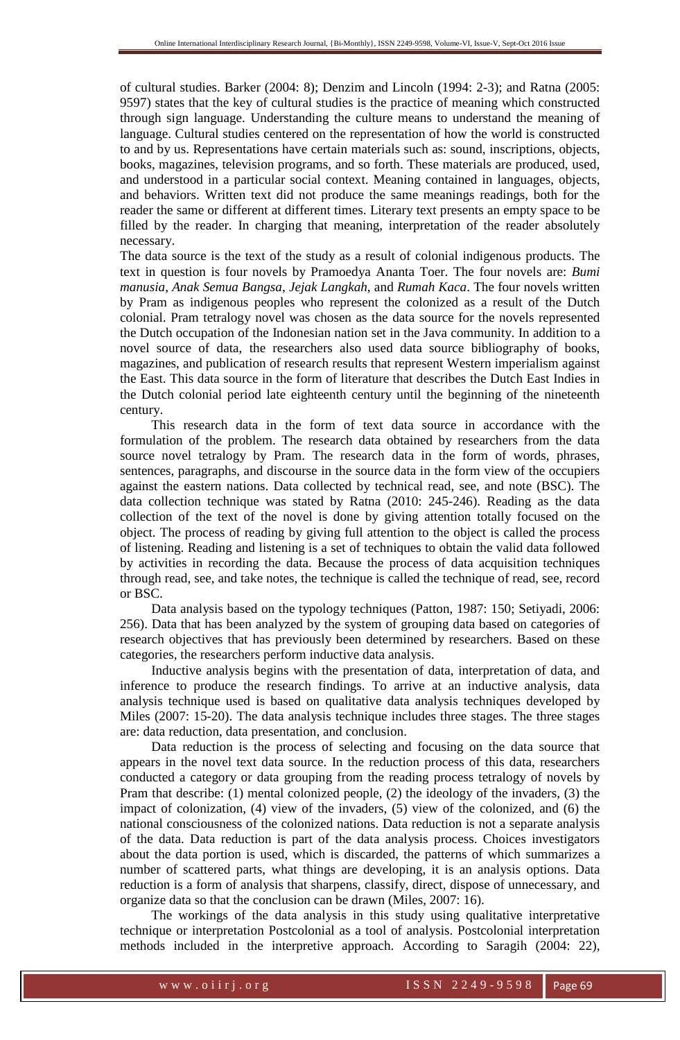of cultural studies. Barker (2004: 8); Denzim and Lincoln (1994: 2-3); and Ratna (2005: 9597) states that the key of cultural studies is the practice of meaning which constructed through sign language. Understanding the culture means to understand the meaning of language. Cultural studies centered on the representation of how the world is constructed to and by us. Representations have certain materials such as: sound, inscriptions, objects, books, magazines, television programs, and so forth. These materials are produced, used, and understood in a particular social context. Meaning contained in languages, objects, and behaviors. Written text did not produce the same meanings readings, both for the reader the same or different at different times. Literary text presents an empty space to be filled by the reader. In charging that meaning, interpretation of the reader absolutely necessary.

The data source is the text of the study as a result of colonial indigenous products. The text in question is four novels by Pramoedya Ananta Toer. The four novels are: *Bumi manusia*, *Anak Semua Bangsa*, *Jejak Langkah*, and *Rumah Kaca*. The four novels written by Pram as indigenous peoples who represent the colonized as a result of the Dutch colonial. Pram tetralogy novel was chosen as the data source for the novels represented the Dutch occupation of the Indonesian nation set in the Java community. In addition to a novel source of data, the researchers also used data source bibliography of books, magazines, and publication of research results that represent Western imperialism against the East. This data source in the form of literature that describes the Dutch East Indies in the Dutch colonial period late eighteenth century until the beginning of the nineteenth century.

This research data in the form of text data source in accordance with the formulation of the problem. The research data obtained by researchers from the data source novel tetralogy by Pram. The research data in the form of words, phrases, sentences, paragraphs, and discourse in the source data in the form view of the occupiers against the eastern nations. Data collected by technical read, see, and note (BSC). The data collection technique was stated by Ratna (2010: 245-246). Reading as the data collection of the text of the novel is done by giving attention totally focused on the object. The process of reading by giving full attention to the object is called the process of listening. Reading and listening is a set of techniques to obtain the valid data followed by activities in recording the data. Because the process of data acquisition techniques through read, see, and take notes, the technique is called the technique of read, see, record or BSC.

Data analysis based on the typology techniques (Patton, 1987: 150; Setiyadi, 2006: 256). Data that has been analyzed by the system of grouping data based on categories of research objectives that has previously been determined by researchers. Based on these categories, the researchers perform inductive data analysis.

Inductive analysis begins with the presentation of data, interpretation of data, and inference to produce the research findings. To arrive at an inductive analysis, data analysis technique used is based on qualitative data analysis techniques developed by Miles (2007: 15-20). The data analysis technique includes three stages. The three stages are: data reduction, data presentation, and conclusion.

Data reduction is the process of selecting and focusing on the data source that appears in the novel text data source. In the reduction process of this data, researchers conducted a category or data grouping from the reading process tetralogy of novels by Pram that describe: (1) mental colonized people, (2) the ideology of the invaders, (3) the impact of colonization, (4) view of the invaders, (5) view of the colonized, and (6) the national consciousness of the colonized nations. Data reduction is not a separate analysis of the data. Data reduction is part of the data analysis process. Choices investigators about the data portion is used, which is discarded, the patterns of which summarizes a number of scattered parts, what things are developing, it is an analysis options. Data reduction is a form of analysis that sharpens, classify, direct, dispose of unnecessary, and organize data so that the conclusion can be drawn (Miles, 2007: 16).

The workings of the data analysis in this study using qualitative interpretative technique or interpretation Postcolonial as a tool of analysis. Postcolonial interpretation methods included in the interpretive approach. According to Saragih (2004: 22),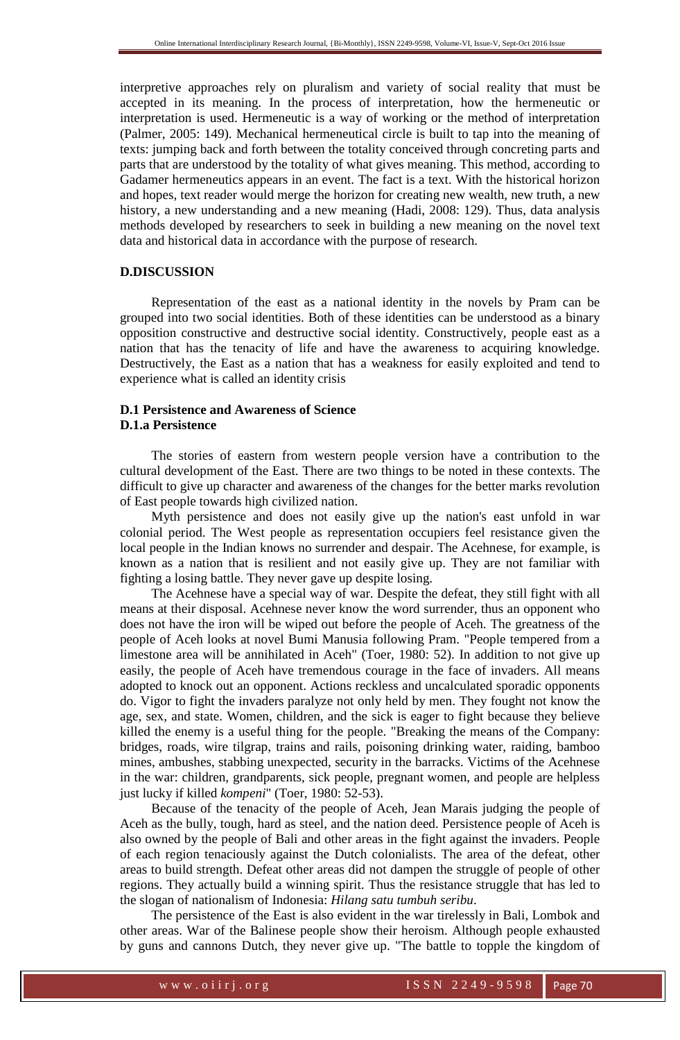interpretive approaches rely on pluralism and variety of social reality that must be accepted in its meaning. In the process of interpretation, how the hermeneutic or interpretation is used. Hermeneutic is a way of working or the method of interpretation (Palmer, 2005: 149). Mechanical hermeneutical circle is built to tap into the meaning of texts: jumping back and forth between the totality conceived through concreting parts and parts that are understood by the totality of what gives meaning. This method, according to Gadamer hermeneutics appears in an event. The fact is a text. With the historical horizon and hopes, text reader would merge the horizon for creating new wealth, new truth, a new history, a new understanding and a new meaning (Hadi, 2008: 129). Thus, data analysis methods developed by researchers to seek in building a new meaning on the novel text data and historical data in accordance with the purpose of research.

## **D.DISCUSSION**

Representation of the east as a national identity in the novels by Pram can be grouped into two social identities. Both of these identities can be understood as a binary opposition constructive and destructive social identity. Constructively, people east as a nation that has the tenacity of life and have the awareness to acquiring knowledge. Destructively, the East as a nation that has a weakness for easily exploited and tend to experience what is called an identity crisis

## **D.1 Persistence and Awareness of Science D.1.a Persistence**

The stories of eastern from western people version have a contribution to the cultural development of the East. There are two things to be noted in these contexts. The difficult to give up character and awareness of the changes for the better marks revolution of East people towards high civilized nation.

Myth persistence and does not easily give up the nation's east unfold in war colonial period. The West people as representation occupiers feel resistance given the local people in the Indian knows no surrender and despair. The Acehnese, for example, is known as a nation that is resilient and not easily give up. They are not familiar with fighting a losing battle. They never gave up despite losing.

The Acehnese have a special way of war. Despite the defeat, they still fight with all means at their disposal. Acehnese never know the word surrender, thus an opponent who does not have the iron will be wiped out before the people of Aceh. The greatness of the people of Aceh looks at novel Bumi Manusia following Pram. "People tempered from a limestone area will be annihilated in Aceh" (Toer, 1980: 52). In addition to not give up easily, the people of Aceh have tremendous courage in the face of invaders. All means adopted to knock out an opponent. Actions reckless and uncalculated sporadic opponents do. Vigor to fight the invaders paralyze not only held by men. They fought not know the age, sex, and state. Women, children, and the sick is eager to fight because they believe killed the enemy is a useful thing for the people. "Breaking the means of the Company: bridges, roads, wire tilgrap, trains and rails, poisoning drinking water, raiding, bamboo mines, ambushes, stabbing unexpected, security in the barracks. Victims of the Acehnese in the war: children, grandparents, sick people, pregnant women, and people are helpless just lucky if killed *kompeni*" (Toer, 1980: 52-53).

Because of the tenacity of the people of Aceh, Jean Marais judging the people of Aceh as the bully, tough, hard as steel, and the nation deed. Persistence people of Aceh is also owned by the people of Bali and other areas in the fight against the invaders. People of each region tenaciously against the Dutch colonialists. The area of the defeat, other areas to build strength. Defeat other areas did not dampen the struggle of people of other regions. They actually build a winning spirit. Thus the resistance struggle that has led to the slogan of nationalism of Indonesia: *Hilang satu tumbuh seribu*.

The persistence of the East is also evident in the war tirelessly in Bali, Lombok and other areas. War of the Balinese people show their heroism. Although people exhausted by guns and cannons Dutch, they never give up. "The battle to topple the kingdom of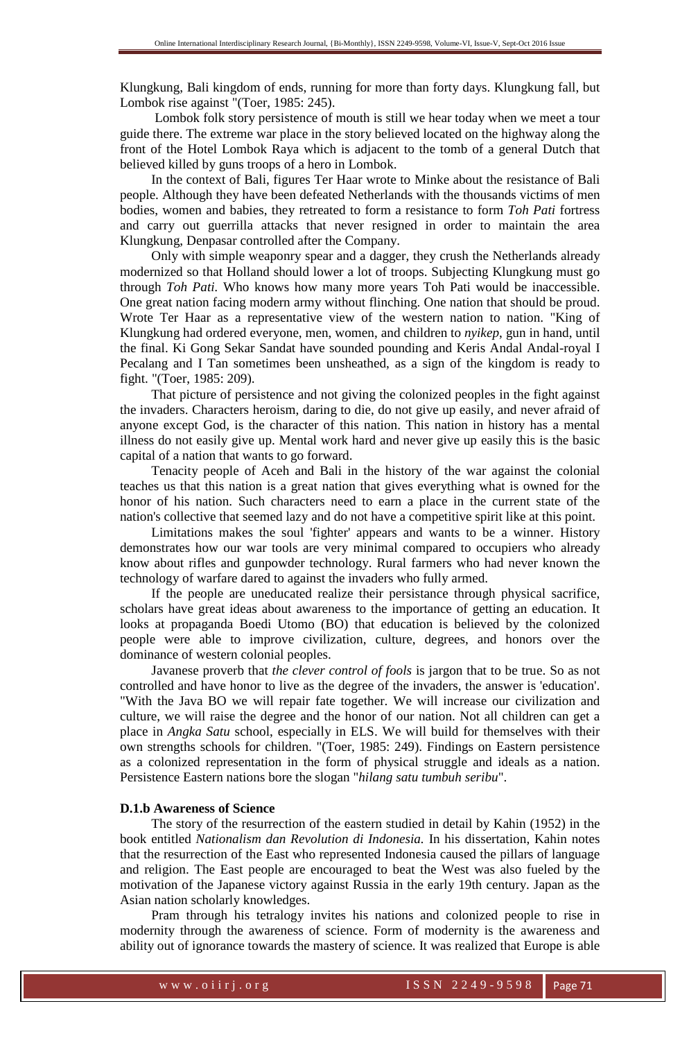Klungkung, Bali kingdom of ends, running for more than forty days. Klungkung fall, but Lombok rise against "(Toer, 1985: 245).

 Lombok folk story persistence of mouth is still we hear today when we meet a tour guide there. The extreme war place in the story believed located on the highway along the front of the Hotel Lombok Raya which is adjacent to the tomb of a general Dutch that believed killed by guns troops of a hero in Lombok.

In the context of Bali, figures Ter Haar wrote to Minke about the resistance of Bali people. Although they have been defeated Netherlands with the thousands victims of men bodies, women and babies, they retreated to form a resistance to form *Toh Pati* fortress and carry out guerrilla attacks that never resigned in order to maintain the area Klungkung, Denpasar controlled after the Company.

Only with simple weaponry spear and a dagger, they crush the Netherlands already modernized so that Holland should lower a lot of troops. Subjecting Klungkung must go through *Toh Pati.* Who knows how many more years Toh Pati would be inaccessible. One great nation facing modern army without flinching. One nation that should be proud. Wrote Ter Haar as a representative view of the western nation to nation. "King of Klungkung had ordered everyone, men, women, and children to *nyikep*, gun in hand, until the final. Ki Gong Sekar Sandat have sounded pounding and Keris Andal Andal-royal I Pecalang and I Tan sometimes been unsheathed, as a sign of the kingdom is ready to fight. "(Toer, 1985: 209).

That picture of persistence and not giving the colonized peoples in the fight against the invaders. Characters heroism, daring to die, do not give up easily, and never afraid of anyone except God, is the character of this nation. This nation in history has a mental illness do not easily give up. Mental work hard and never give up easily this is the basic capital of a nation that wants to go forward.

Tenacity people of Aceh and Bali in the history of the war against the colonial teaches us that this nation is a great nation that gives everything what is owned for the honor of his nation. Such characters need to earn a place in the current state of the nation's collective that seemed lazy and do not have a competitive spirit like at this point.

Limitations makes the soul 'fighter' appears and wants to be a winner. History demonstrates how our war tools are very minimal compared to occupiers who already know about rifles and gunpowder technology. Rural farmers who had never known the technology of warfare dared to against the invaders who fully armed.

If the people are uneducated realize their persistance through physical sacrifice, scholars have great ideas about awareness to the importance of getting an education. It looks at propaganda Boedi Utomo (BO) that education is believed by the colonized people were able to improve civilization, culture, degrees, and honors over the dominance of western colonial peoples.

Javanese proverb that *the clever control of fools* is jargon that to be true. So as not controlled and have honor to live as the degree of the invaders, the answer is 'education'. "With the Java BO we will repair fate together. We will increase our civilization and culture, we will raise the degree and the honor of our nation. Not all children can get a place in *Angka Satu* school, especially in ELS. We will build for themselves with their own strengths schools for children. "(Toer, 1985: 249). Findings on Eastern persistence as a colonized representation in the form of physical struggle and ideals as a nation. Persistence Eastern nations bore the slogan "*hilang satu tumbuh seribu*".

#### **D.1.b Awareness of Science**

The story of the resurrection of the eastern studied in detail by Kahin (1952) in the book entitled *Nationalism dan Revolution di Indonesia.* In his dissertation, Kahin notes that the resurrection of the East who represented Indonesia caused the pillars of language and religion. The East people are encouraged to beat the West was also fueled by the motivation of the Japanese victory against Russia in the early 19th century. Japan as the Asian nation scholarly knowledges.

Pram through his tetralogy invites his nations and colonized people to rise in modernity through the awareness of science. Form of modernity is the awareness and ability out of ignorance towards the mastery of science. It was realized that Europe is able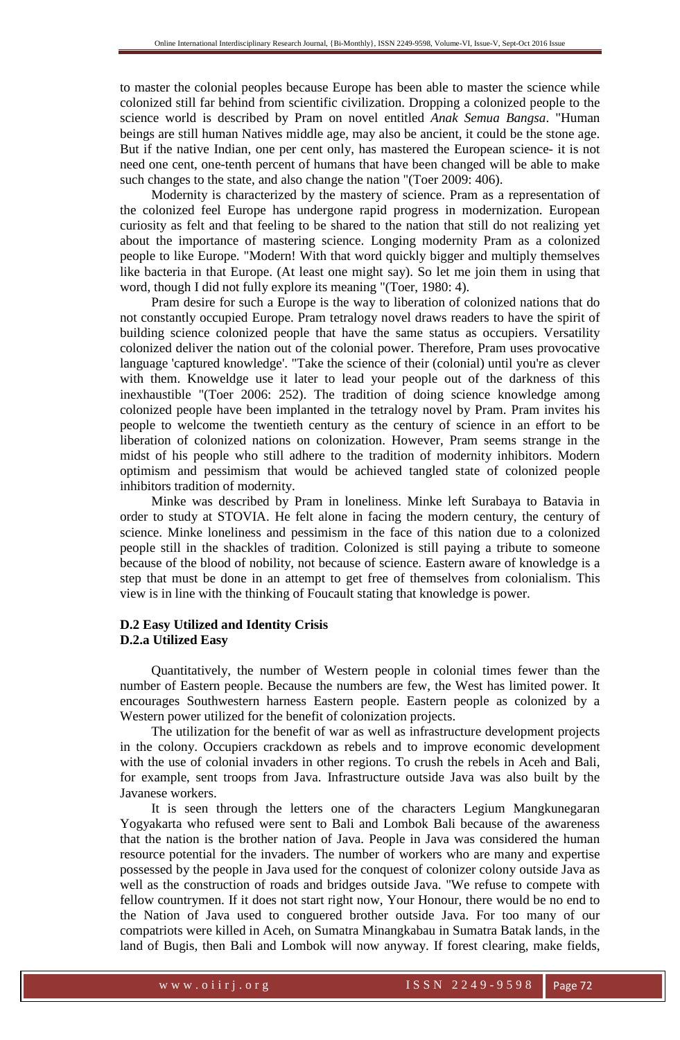to master the colonial peoples because Europe has been able to master the science while colonized still far behind from scientific civilization. Dropping a colonized people to the science world is described by Pram on novel entitled *Anak Semua Bangsa*. "Human beings are still human Natives middle age, may also be ancient, it could be the stone age. But if the native Indian, one per cent only, has mastered the European science- it is not need one cent, one-tenth percent of humans that have been changed will be able to make such changes to the state, and also change the nation "(Toer 2009: 406).

Modernity is characterized by the mastery of science. Pram as a representation of the colonized feel Europe has undergone rapid progress in modernization. European curiosity as felt and that feeling to be shared to the nation that still do not realizing yet about the importance of mastering science. Longing modernity Pram as a colonized people to like Europe. "Modern! With that word quickly bigger and multiply themselves like bacteria in that Europe. (At least one might say). So let me join them in using that word, though I did not fully explore its meaning "(Toer, 1980: 4).

Pram desire for such a Europe is the way to liberation of colonized nations that do not constantly occupied Europe. Pram tetralogy novel draws readers to have the spirit of building science colonized people that have the same status as occupiers. Versatility colonized deliver the nation out of the colonial power. Therefore, Pram uses provocative language 'captured knowledge'. "Take the science of their (colonial) until you're as clever with them. Knoweldge use it later to lead your people out of the darkness of this inexhaustible "(Toer 2006: 252). The tradition of doing science knowledge among colonized people have been implanted in the tetralogy novel by Pram. Pram invites his people to welcome the twentieth century as the century of science in an effort to be liberation of colonized nations on colonization. However, Pram seems strange in the midst of his people who still adhere to the tradition of modernity inhibitors. Modern optimism and pessimism that would be achieved tangled state of colonized people inhibitors tradition of modernity.

Minke was described by Pram in loneliness. Minke left Surabaya to Batavia in order to study at STOVIA. He felt alone in facing the modern century, the century of science. Minke loneliness and pessimism in the face of this nation due to a colonized people still in the shackles of tradition. Colonized is still paying a tribute to someone because of the blood of nobility, not because of science. Eastern aware of knowledge is a step that must be done in an attempt to get free of themselves from colonialism. This view is in line with the thinking of Foucault stating that knowledge is power.

## **D.2 Easy Utilized and Identity Crisis D.2.a Utilized Easy**

Quantitatively, the number of Western people in colonial times fewer than the number of Eastern people. Because the numbers are few, the West has limited power. It encourages Southwestern harness Eastern people. Eastern people as colonized by a Western power utilized for the benefit of colonization projects.

The utilization for the benefit of war as well as infrastructure development projects in the colony. Occupiers crackdown as rebels and to improve economic development with the use of colonial invaders in other regions. To crush the rebels in Aceh and Bali, for example, sent troops from Java. Infrastructure outside Java was also built by the Javanese workers.

It is seen through the letters one of the characters Legium Mangkunegaran Yogyakarta who refused were sent to Bali and Lombok Bali because of the awareness that the nation is the brother nation of Java. People in Java was considered the human resource potential for the invaders. The number of workers who are many and expertise possessed by the people in Java used for the conquest of colonizer colony outside Java as well as the construction of roads and bridges outside Java. "We refuse to compete with fellow countrymen. If it does not start right now, Your Honour, there would be no end to the Nation of Java used to conguered brother outside Java. For too many of our compatriots were killed in Aceh, on Sumatra Minangkabau in Sumatra Batak lands, in the land of Bugis, then Bali and Lombok will now anyway. If forest clearing, make fields,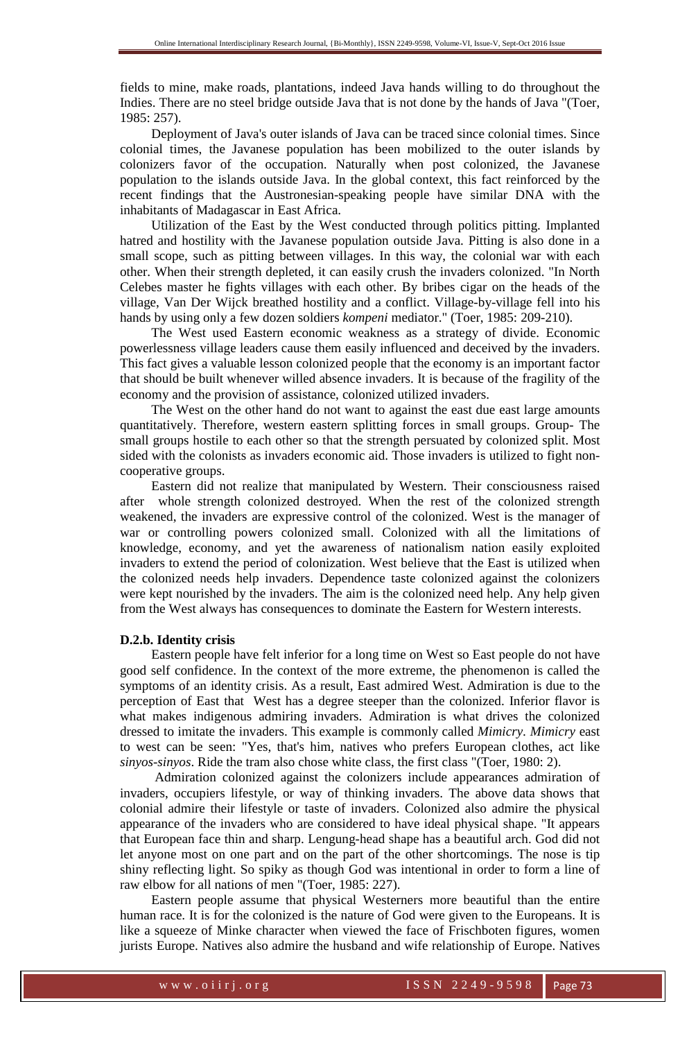fields to mine, make roads, plantations, indeed Java hands willing to do throughout the Indies. There are no steel bridge outside Java that is not done by the hands of Java "(Toer, 1985: 257).

Deployment of Java's outer islands of Java can be traced since colonial times. Since colonial times, the Javanese population has been mobilized to the outer islands by colonizers favor of the occupation. Naturally when post colonized, the Javanese population to the islands outside Java. In the global context, this fact reinforced by the recent findings that the Austronesian-speaking people have similar DNA with the inhabitants of Madagascar in East Africa.

Utilization of the East by the West conducted through politics pitting. Implanted hatred and hostility with the Javanese population outside Java. Pitting is also done in a small scope, such as pitting between villages. In this way, the colonial war with each other. When their strength depleted, it can easily crush the invaders colonized. "In North Celebes master he fights villages with each other. By bribes cigar on the heads of the village, Van Der Wijck breathed hostility and a conflict. Village-by-village fell into his hands by using only a few dozen soldiers *kompeni* mediator." (Toer, 1985: 209-210).

The West used Eastern economic weakness as a strategy of divide. Economic powerlessness village leaders cause them easily influenced and deceived by the invaders. This fact gives a valuable lesson colonized people that the economy is an important factor that should be built whenever willed absence invaders. It is because of the fragility of the economy and the provision of assistance, colonized utilized invaders.

The West on the other hand do not want to against the east due east large amounts quantitatively. Therefore, western eastern splitting forces in small groups. Group- The small groups hostile to each other so that the strength persuated by colonized split. Most sided with the colonists as invaders economic aid. Those invaders is utilized to fight noncooperative groups.

Eastern did not realize that manipulated by Western. Their consciousness raised after whole strength colonized destroyed. When the rest of the colonized strength weakened, the invaders are expressive control of the colonized. West is the manager of war or controlling powers colonized small. Colonized with all the limitations of knowledge, economy, and yet the awareness of nationalism nation easily exploited invaders to extend the period of colonization. West believe that the East is utilized when the colonized needs help invaders. Dependence taste colonized against the colonizers were kept nourished by the invaders. The aim is the colonized need help. Any help given from the West always has consequences to dominate the Eastern for Western interests.

#### **D.2.b. Identity crisis**

Eastern people have felt inferior for a long time on West so East people do not have good self confidence. In the context of the more extreme, the phenomenon is called the symptoms of an identity crisis. As a result, East admired West. Admiration is due to the perception of East that West has a degree steeper than the colonized. Inferior flavor is what makes indigenous admiring invaders. Admiration is what drives the colonized dressed to imitate the invaders. This example is commonly called *Mimicry. Mimicry* east to west can be seen: "Yes, that's him, natives who prefers European clothes, act like *sinyos-sinyos*. Ride the tram also chose white class, the first class "(Toer, 1980: 2).

 Admiration colonized against the colonizers include appearances admiration of invaders, occupiers lifestyle, or way of thinking invaders. The above data shows that colonial admire their lifestyle or taste of invaders. Colonized also admire the physical appearance of the invaders who are considered to have ideal physical shape. "It appears that European face thin and sharp. Lengung-head shape has a beautiful arch. God did not let anyone most on one part and on the part of the other shortcomings. The nose is tip shiny reflecting light. So spiky as though God was intentional in order to form a line of raw elbow for all nations of men "(Toer, 1985: 227).

Eastern people assume that physical Westerners more beautiful than the entire human race. It is for the colonized is the nature of God were given to the Europeans. It is like a squeeze of Minke character when viewed the face of Frischboten figures, women jurists Europe. Natives also admire the husband and wife relationship of Europe. Natives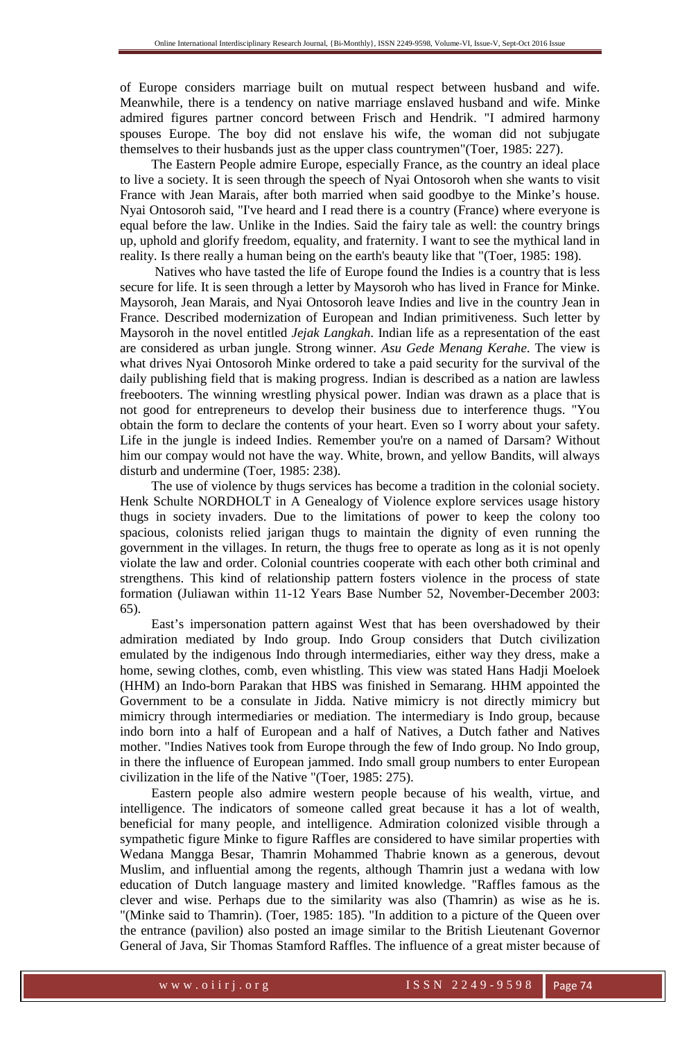of Europe considers marriage built on mutual respect between husband and wife. Meanwhile, there is a tendency on native marriage enslaved husband and wife. Minke admired figures partner concord between Frisch and Hendrik. "I admired harmony spouses Europe. The boy did not enslave his wife, the woman did not subjugate themselves to their husbands just as the upper class countrymen"(Toer, 1985: 227).

The Eastern People admire Europe, especially France, as the country an ideal place to live a society. It is seen through the speech of Nyai Ontosoroh when she wants to visit France with Jean Marais, after both married when said goodbye to the Minke's house. Nyai Ontosoroh said, "I've heard and I read there is a country (France) where everyone is equal before the law. Unlike in the Indies. Said the fairy tale as well: the country brings up, uphold and glorify freedom, equality, and fraternity. I want to see the mythical land in reality. Is there really a human being on the earth's beauty like that "(Toer, 1985: 198).

 Natives who have tasted the life of Europe found the Indies is a country that is less secure for life. It is seen through a letter by Maysoroh who has lived in France for Minke. Maysoroh, Jean Marais, and Nyai Ontosoroh leave Indies and live in the country Jean in France. Described modernization of European and Indian primitiveness. Such letter by Maysoroh in the novel entitled *Jejak Langkah*. Indian life as a representation of the east are considered as urban jungle. Strong winner. *Asu Gede Menang Kerahe*. The view is what drives Nyai Ontosoroh Minke ordered to take a paid security for the survival of the daily publishing field that is making progress. Indian is described as a nation are lawless freebooters. The winning wrestling physical power. Indian was drawn as a place that is not good for entrepreneurs to develop their business due to interference thugs. "You obtain the form to declare the contents of your heart. Even so I worry about your safety. Life in the jungle is indeed Indies. Remember you're on a named of Darsam? Without him our compay would not have the way. White, brown, and yellow Bandits, will always disturb and undermine (Toer, 1985: 238).

The use of violence by thugs services has become a tradition in the colonial society. Henk Schulte NORDHOLT in A Genealogy of Violence explore services usage history thugs in society invaders. Due to the limitations of power to keep the colony too spacious, colonists relied jarigan thugs to maintain the dignity of even running the government in the villages. In return, the thugs free to operate as long as it is not openly violate the law and order. Colonial countries cooperate with each other both criminal and strengthens. This kind of relationship pattern fosters violence in the process of state formation (Juliawan within 11-12 Years Base Number 52, November-December 2003: 65).

East's impersonation pattern against West that has been overshadowed by their admiration mediated by Indo group. Indo Group considers that Dutch civilization emulated by the indigenous Indo through intermediaries, either way they dress, make a home, sewing clothes, comb, even whistling. This view was stated Hans Hadji Moeloek (HHM) an Indo-born Parakan that HBS was finished in Semarang. HHM appointed the Government to be a consulate in Jidda. Native mimicry is not directly mimicry but mimicry through intermediaries or mediation. The intermediary is Indo group, because indo born into a half of European and a half of Natives, a Dutch father and Natives mother. "Indies Natives took from Europe through the few of Indo group. No Indo group, in there the influence of European jammed. Indo small group numbers to enter European civilization in the life of the Native "(Toer, 1985: 275).

Eastern people also admire western people because of his wealth, virtue, and intelligence. The indicators of someone called great because it has a lot of wealth, beneficial for many people, and intelligence. Admiration colonized visible through a sympathetic figure Minke to figure Raffles are considered to have similar properties with Wedana Mangga Besar, Thamrin Mohammed Thabrie known as a generous, devout Muslim, and influential among the regents, although Thamrin just a wedana with low education of Dutch language mastery and limited knowledge. "Raffles famous as the clever and wise. Perhaps due to the similarity was also (Thamrin) as wise as he is. "(Minke said to Thamrin). (Toer, 1985: 185). "In addition to a picture of the Queen over the entrance (pavilion) also posted an image similar to the British Lieutenant Governor General of Java, Sir Thomas Stamford Raffles. The influence of a great mister because of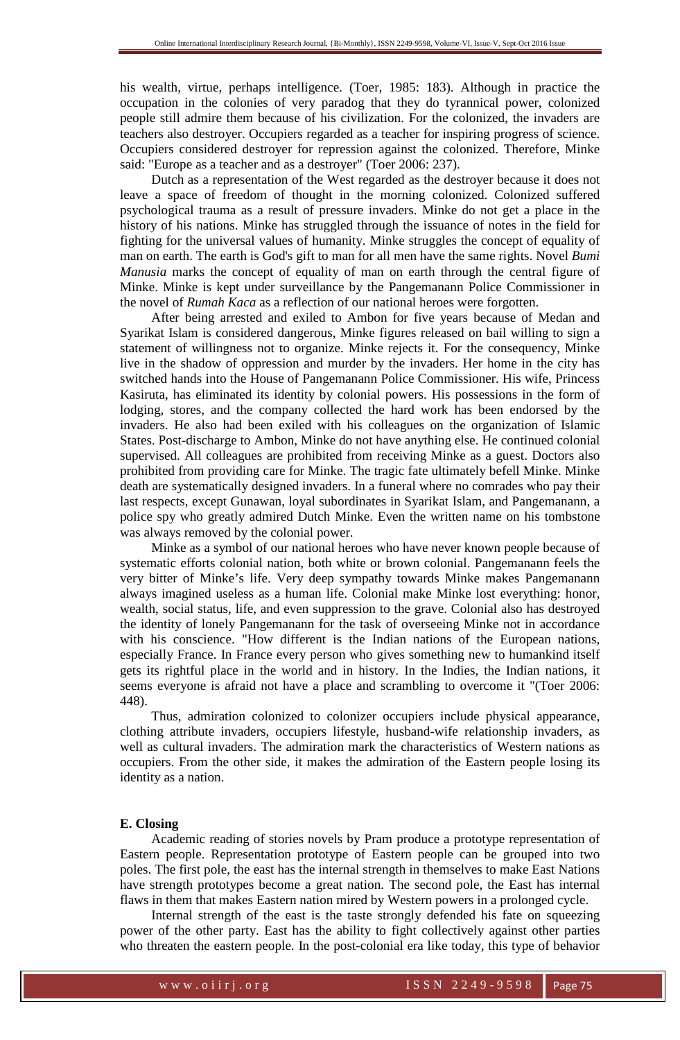his wealth, virtue, perhaps intelligence. (Toer, 1985: 183). Although in practice the occupation in the colonies of very paradog that they do tyrannical power, colonized people still admire them because of his civilization. For the colonized, the invaders are teachers also destroyer. Occupiers regarded as a teacher for inspiring progress of science. Occupiers considered destroyer for repression against the colonized. Therefore, Minke said: "Europe as a teacher and as a destroyer" (Toer 2006: 237).

Dutch as a representation of the West regarded as the destroyer because it does not leave a space of freedom of thought in the morning colonized. Colonized suffered psychological trauma as a result of pressure invaders. Minke do not get a place in the history of his nations. Minke has struggled through the issuance of notes in the field for fighting for the universal values of humanity. Minke struggles the concept of equality of man on earth. The earth is God's gift to man for all men have the same rights. Novel *Bumi Manusia* marks the concept of equality of man on earth through the central figure of Minke. Minke is kept under surveillance by the Pangemanann Police Commissioner in the novel of *Rumah Kaca* as a reflection of our national heroes were forgotten.

After being arrested and exiled to Ambon for five years because of Medan and Syarikat Islam is considered dangerous, Minke figures released on bail willing to sign a statement of willingness not to organize. Minke rejects it. For the consequency, Minke live in the shadow of oppression and murder by the invaders. Her home in the city has switched hands into the House of Pangemanann Police Commissioner. His wife, Princess Kasiruta, has eliminated its identity by colonial powers. His possessions in the form of lodging, stores, and the company collected the hard work has been endorsed by the invaders. He also had been exiled with his colleagues on the organization of Islamic States. Post-discharge to Ambon, Minke do not have anything else. He continued colonial supervised. All colleagues are prohibited from receiving Minke as a guest. Doctors also prohibited from providing care for Minke. The tragic fate ultimately befell Minke. Minke death are systematically designed invaders. In a funeral where no comrades who pay their last respects, except Gunawan, loyal subordinates in Syarikat Islam, and Pangemanann, a police spy who greatly admired Dutch Minke. Even the written name on his tombstone was always removed by the colonial power.

Minke as a symbol of our national heroes who have never known people because of systematic efforts colonial nation, both white or brown colonial. Pangemanann feels the very bitter of Minke's life. Very deep sympathy towards Minke makes Pangemanann always imagined useless as a human life. Colonial make Minke lost everything: honor, wealth, social status, life, and even suppression to the grave. Colonial also has destroyed the identity of lonely Pangemanann for the task of overseeing Minke not in accordance with his conscience. "How different is the Indian nations of the European nations, especially France. In France every person who gives something new to humankind itself gets its rightful place in the world and in history. In the Indies, the Indian nations, it seems everyone is afraid not have a place and scrambling to overcome it "(Toer 2006: 448).

Thus, admiration colonized to colonizer occupiers include physical appearance, clothing attribute invaders, occupiers lifestyle, husband-wife relationship invaders, as well as cultural invaders. The admiration mark the characteristics of Western nations as occupiers. From the other side, it makes the admiration of the Eastern people losing its identity as a nation.

## **E. Closing**

Academic reading of stories novels by Pram produce a prototype representation of Eastern people. Representation prototype of Eastern people can be grouped into two poles. The first pole, the east has the internal strength in themselves to make East Nations have strength prototypes become a great nation. The second pole, the East has internal flaws in them that makes Eastern nation mired by Western powers in a prolonged cycle.

Internal strength of the east is the taste strongly defended his fate on squeezing power of the other party. East has the ability to fight collectively against other parties who threaten the eastern people. In the post-colonial era like today, this type of behavior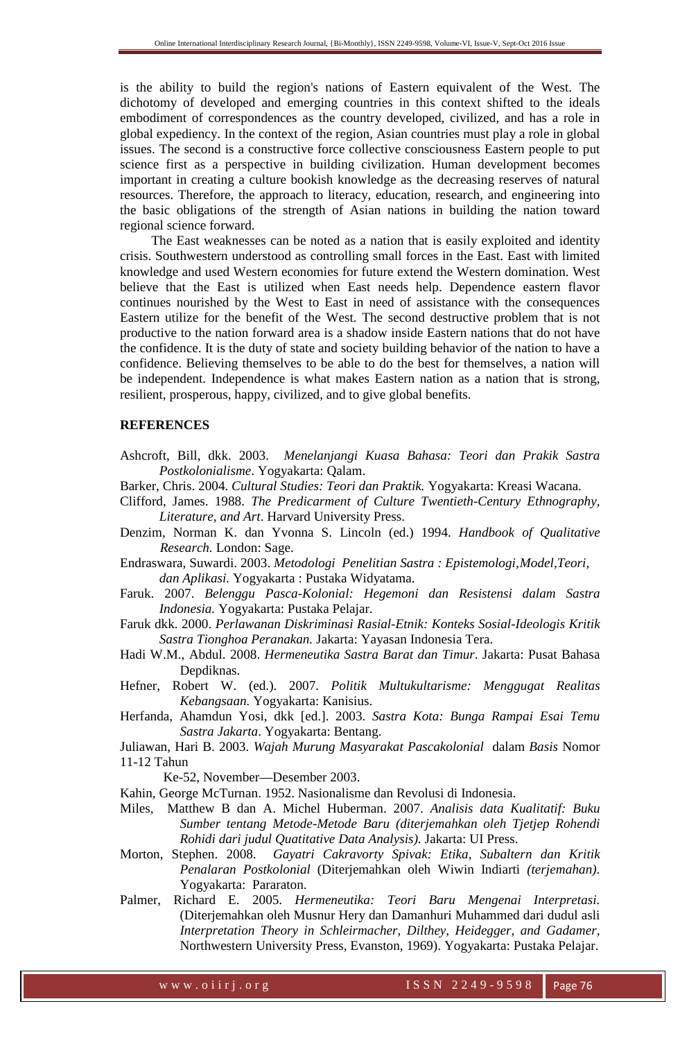is the ability to build the region's nations of Eastern equivalent of the West. The dichotomy of developed and emerging countries in this context shifted to the ideals embodiment of correspondences as the country developed, civilized, and has a role in global expediency. In the context of the region, Asian countries must play a role in global issues. The second is a constructive force collective consciousness Eastern people to put science first as a perspective in building civilization. Human development becomes important in creating a culture bookish knowledge as the decreasing reserves of natural resources. Therefore, the approach to literacy, education, research, and engineering into the basic obligations of the strength of Asian nations in building the nation toward regional science forward.

The East weaknesses can be noted as a nation that is easily exploited and identity crisis. Southwestern understood as controlling small forces in the East. East with limited knowledge and used Western economies for future extend the Western domination. West believe that the East is utilized when East needs help. Dependence eastern flavor continues nourished by the West to East in need of assistance with the consequences Eastern utilize for the benefit of the West. The second destructive problem that is not productive to the nation forward area is a shadow inside Eastern nations that do not have the confidence. It is the duty of state and society building behavior of the nation to have a confidence. Believing themselves to be able to do the best for themselves, a nation will be independent. Independence is what makes Eastern nation as a nation that is strong, resilient, prosperous, happy, civilized, and to give global benefits.

#### **REFERENCES**

- Ashcroft, Bill, dkk. 2003. *Menelanjangi Kuasa Bahasa: Teori dan Prakik Sastra Postkolonialisme*. Yogyakarta: Qalam.
- Barker, Chris. 2004. *Cultural Studies: Teori dan Praktik.* Yogyakarta: Kreasi Wacana.
- Clifford, James. 1988. *The Predicarment of Culture Twentieth-Century Ethnography, Literature, and Art*. Harvard University Press.
- Denzim, Norman K. dan Yvonna S. Lincoln (ed.) 1994. *Handbook of Qualitative Research.* London: Sage.
- Endraswara, Suwardi. 2003. *Metodologi Penelitian Sastra : Epistemologi, Model,Teori, dan Aplikasi.* Yogyakarta : Pustaka Widyatama.
- Faruk. 2007. *Belenggu Pasca-Kolonial: Hegemoni dan Resistensi dalam Sastra Indonesia.* Yogyakarta: Pustaka Pelajar.
- Faruk dkk. 2000. *Perlawanan Diskriminasi Rasial-Etnik: Konteks Sosial-Ideologis Kritik Sastra Tionghoa Peranakan.* Jakarta: Yayasan Indonesia Tera.
- Hadi W.M., Abdul. 2008. *Hermeneutika Sastra Barat dan Timur*. Jakarta: Pusat Bahasa Depdiknas.
- Hefner, Robert W. (ed.). 2007. *Politik Multukultarisme: Menggugat Realitas Kebangsaan.* Yogyakarta: Kanisius.
- Herfanda, Ahamdun Yosi, dkk [ed.]. 2003. *Sastra Kota: Bunga Rampai Esai Temu Sastra Jakarta*. Yogyakarta: Bentang.
- Juliawan, Hari B. 2003. *Wajah Murung Masyarakat Pascakolonial* dalam *Basis* Nomor 11-12 Tahun

Ke-52, November—Desember 2003.

Kahin, George McTurnan. 1952. Nasionalisme dan Revolusi di Indonesia.

- Miles, Matthew B dan A. Michel Huberman. 2007. *Analisis data Kualitatif: Buku Sumber tentang Metode-Metode Baru (diterjemahkan oleh Tjetjep Rohendi Rohidi dari judul Quatitative Data Analysis).* Jakarta: UI Press.
- Morton, Stephen. 2008. *Gayatri Cakravorty Spivak: Etika, Subaltern dan Kritik Penalaran Postkolonial* (Diterjemahkan oleh Wiwin Indiarti *(terjemahan)*. Yogyakarta: Pararaton.
- Palmer, Richard E. 2005. *Hermeneutika: Teori Baru Mengenai Interpretasi.* (Diterjemahkan oleh Musnur Hery dan Damanhuri Muhammed dari dudul asli *Interpretation Theory in Schleirmacher, Dilthey, Heidegger, and Gadamer,* Northwestern University Press, Evanston, 1969). Yogyakarta: Pustaka Pelajar.